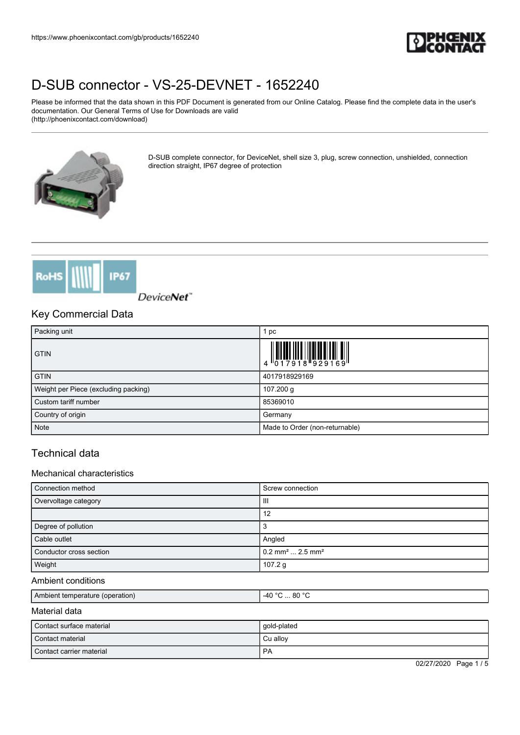

Please be informed that the data shown in this PDF Document is generated from our Online Catalog. Please find the complete data in the user's documentation. Our General Terms of Use for Downloads are valid (http://phoenixcontact.com/download)



D-SUB complete connector, for DeviceNet, shell size 3, plug, screw connection, unshielded, connection direction straight, IP67 degree of protection



DeviceNet"

### Key Commercial Data

| Packing unit                         | 1 pc                                                                                                                                                                                                                                                                                                                           |
|--------------------------------------|--------------------------------------------------------------------------------------------------------------------------------------------------------------------------------------------------------------------------------------------------------------------------------------------------------------------------------|
| <b>GTIN</b>                          | $\begin{array}{c} 1 & 0 & 0 & 0 \\ 0 & 1 & 0 & 0 \\ 0 & 1 & 0 & 0 \\ 0 & 0 & 1 & 0 \\ 0 & 0 & 0 & 0 \\ 0 & 0 & 0 & 0 \\ 0 & 0 & 0 & 0 \\ 0 & 0 & 0 & 0 \\ 0 & 0 & 0 & 0 \\ 0 & 0 & 0 & 0 \\ 0 & 0 & 0 & 0 \\ 0 & 0 & 0 & 0 \\ 0 & 0 & 0 & 0 & 0 \\ 0 & 0 & 0 & 0 & 0 \\ 0 & 0 & 0 & 0 & 0 \\ 0 & 0 & 0 & 0 & 0 \\ 0 & 0 & 0 &$ |
| <b>GTIN</b>                          | 4017918929169                                                                                                                                                                                                                                                                                                                  |
| Weight per Piece (excluding packing) | 107.200 g                                                                                                                                                                                                                                                                                                                      |
| Custom tariff number                 | 85369010                                                                                                                                                                                                                                                                                                                       |
| Country of origin                    | Germany                                                                                                                                                                                                                                                                                                                        |
| Note                                 | Made to Order (non-returnable)                                                                                                                                                                                                                                                                                                 |

## Technical data

#### Mechanical characteristics

| Connection method       | Screw connection                          |
|-------------------------|-------------------------------------------|
| Overvoltage category    | Ш                                         |
|                         | 12                                        |
| Degree of pollution     |                                           |
| Cable outlet            | Angled                                    |
| Conductor cross section | $0.2$ mm <sup>2</sup> 2.5 mm <sup>2</sup> |
| Weight                  | 107.2 $g$                                 |

#### Ambient conditions

| Amr<br>r remperature (operation)<br>blent | $\sim$<br>80<br>$\sim$<br>$-AF$<br>$\sim$ |
|-------------------------------------------|-------------------------------------------|
|                                           |                                           |

#### Material data

| l Contact surface material | gold-plated |
|----------------------------|-------------|
| Contact material           | Cu alloy    |
| Contact carrier material   | PA          |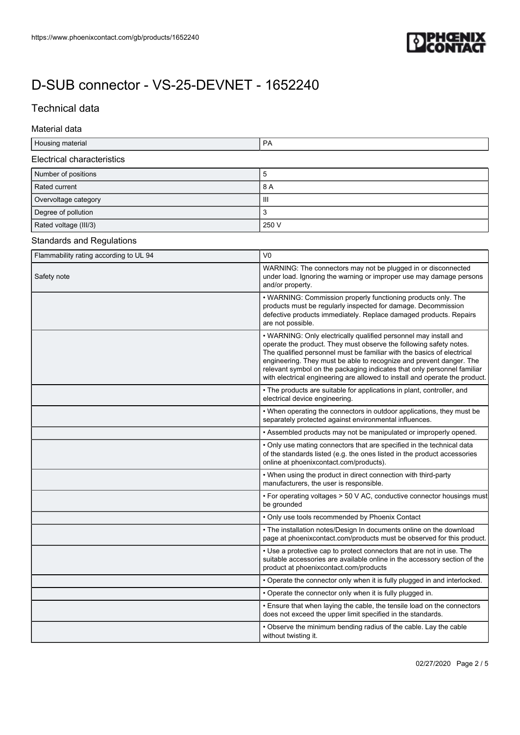

## Technical data

#### Material data

| ו∩⊢<br>:i iai<br>___ |  |
|----------------------|--|
|                      |  |

#### Electrical characteristics

| Number of positions   | ວ     |
|-----------------------|-------|
| Rated current         | 8 A   |
| Overvoltage category  | Ш     |
| Degree of pollution   | 3     |
| Rated voltage (III/3) | 250 V |

### Standards and Regulations

| Flammability rating according to UL 94 | V <sub>0</sub>                                                                                                                                                                                                                                                                                                                                                                                                                                    |
|----------------------------------------|---------------------------------------------------------------------------------------------------------------------------------------------------------------------------------------------------------------------------------------------------------------------------------------------------------------------------------------------------------------------------------------------------------------------------------------------------|
| Safety note                            | WARNING: The connectors may not be plugged in or disconnected<br>under load. Ignoring the warning or improper use may damage persons<br>and/or property.                                                                                                                                                                                                                                                                                          |
|                                        | • WARNING: Commission properly functioning products only. The<br>products must be regularly inspected for damage. Decommission<br>defective products immediately. Replace damaged products. Repairs<br>are not possible.                                                                                                                                                                                                                          |
|                                        | • WARNING: Only electrically qualified personnel may install and<br>operate the product. They must observe the following safety notes.<br>The qualified personnel must be familiar with the basics of electrical<br>engineering. They must be able to recognize and prevent danger. The<br>relevant symbol on the packaging indicates that only personnel familiar<br>with electrical engineering are allowed to install and operate the product. |
|                                        | • The products are suitable for applications in plant, controller, and<br>electrical device engineering.                                                                                                                                                                                                                                                                                                                                          |
|                                        | • When operating the connectors in outdoor applications, they must be<br>separately protected against environmental influences.                                                                                                                                                                                                                                                                                                                   |
|                                        | • Assembled products may not be manipulated or improperly opened.                                                                                                                                                                                                                                                                                                                                                                                 |
|                                        | . Only use mating connectors that are specified in the technical data<br>of the standards listed (e.g. the ones listed in the product accessories<br>online at phoenixcontact.com/products).                                                                                                                                                                                                                                                      |
|                                        | • When using the product in direct connection with third-party<br>manufacturers, the user is responsible.                                                                                                                                                                                                                                                                                                                                         |
|                                        | • For operating voltages > 50 V AC, conductive connector housings must<br>be grounded                                                                                                                                                                                                                                                                                                                                                             |
|                                        | • Only use tools recommended by Phoenix Contact                                                                                                                                                                                                                                                                                                                                                                                                   |
|                                        | • The installation notes/Design In documents online on the download<br>page at phoenixcontact.com/products must be observed for this product.                                                                                                                                                                                                                                                                                                     |
|                                        | • Use a protective cap to protect connectors that are not in use. The<br>suitable accessories are available online in the accessory section of the<br>product at phoenixcontact.com/products                                                                                                                                                                                                                                                      |
|                                        | • Operate the connector only when it is fully plugged in and interlocked.                                                                                                                                                                                                                                                                                                                                                                         |
|                                        | • Operate the connector only when it is fully plugged in.                                                                                                                                                                                                                                                                                                                                                                                         |
|                                        | • Ensure that when laying the cable, the tensile load on the connectors<br>does not exceed the upper limit specified in the standards.                                                                                                                                                                                                                                                                                                            |
|                                        | • Observe the minimum bending radius of the cable. Lay the cable<br>without twisting it.                                                                                                                                                                                                                                                                                                                                                          |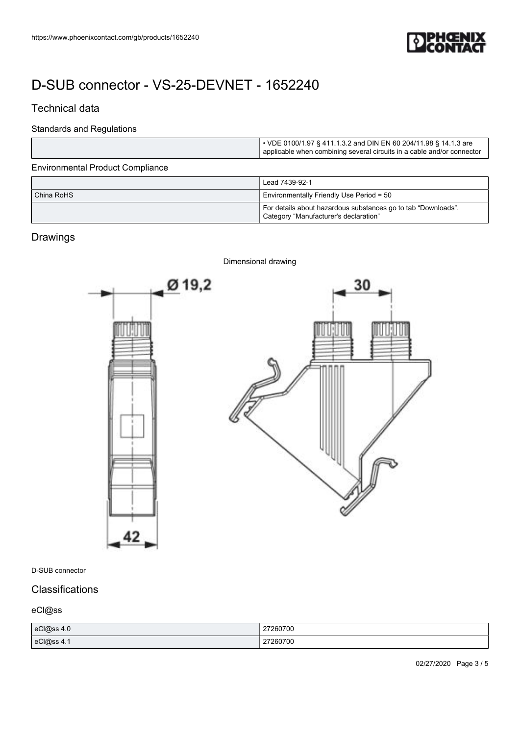

# Technical data

#### Standards and Regulations

|                                         | • VDE 0100/1.97 § 411.1.3.2 and DIN EN 60 204/11.98 § 14.1.3 are<br>applicable when combining several circuits in a cable and/or connector |
|-----------------------------------------|--------------------------------------------------------------------------------------------------------------------------------------------|
| <b>Environmental Product Compliance</b> |                                                                                                                                            |
|                                         | Lead 7439-92-1                                                                                                                             |
| China RoHS                              | Environmentally Friendly Use Period = 50                                                                                                   |
|                                         | For details about hazardous substances go to tab "Downloads",<br>Category "Manufacturer's declaration"                                     |

# Drawings



#### D-SUB connector

## **Classifications**

## eCl@ss

| eCl@ss 4.0 | 27260700<br>. |
|------------|---------------|
| eCl@ss 4.1 | 27260700      |

02/27/2020 Page 3 / 5

#### Dimensional drawing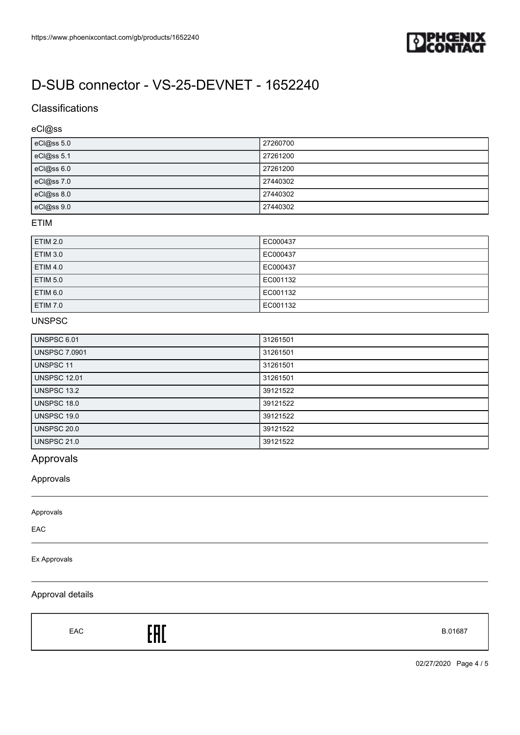

## **Classifications**

## eCl@ss

| eCl@ss 5.0 | 27260700 |
|------------|----------|
| eCl@ss 5.1 | 27261200 |
| eCl@ss 6.0 | 27261200 |
| eCl@ss 7.0 | 27440302 |
| eCl@ss 8.0 | 27440302 |
| eCl@ss 9.0 | 27440302 |

#### ETIM

| <b>ETIM 2.0</b> | EC000437 |
|-----------------|----------|
| <b>ETIM 3.0</b> | EC000437 |
| <b>ETIM 4.0</b> | EC000437 |
| <b>ETIM 5.0</b> | EC001132 |
| <b>ETIM 6.0</b> | EC001132 |
| <b>ETIM 7.0</b> | EC001132 |

#### UNSPSC

| <b>UNSPSC 6.01</b>   | 31261501 |
|----------------------|----------|
| <b>UNSPSC 7.0901</b> | 31261501 |
| UNSPSC 11            | 31261501 |
| <b>UNSPSC 12.01</b>  | 31261501 |
| UNSPSC 13.2          | 39121522 |
| UNSPSC 18.0          | 39121522 |
| UNSPSC 19.0          | 39121522 |
| UNSPSC 20.0          | 39121522 |
| <b>UNSPSC 21.0</b>   | 39121522 |

# Approvals

### Approvals

Approvals

EAC

#### Ex Approvals

### Approval details

 $E = 5.01687$ 

02/27/2020 Page 4 / 5